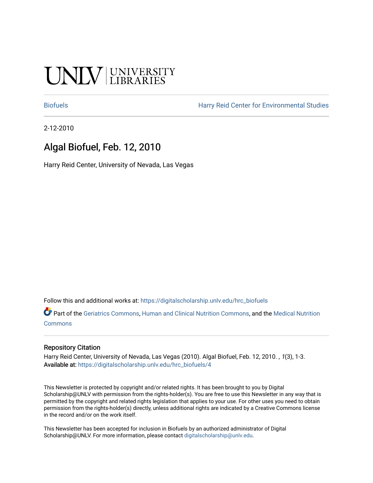# UNIV UNIVERSITY

[Biofuels](https://digitalscholarship.unlv.edu/hrc_biofuels) [Harry Reid Center for Environmental Studies](https://digitalscholarship.unlv.edu/hrc) 

2-12-2010

## Algal Biofuel, Feb. 12, 2010

Harry Reid Center, University of Nevada, Las Vegas

Follow this and additional works at: [https://digitalscholarship.unlv.edu/hrc\\_biofuels](https://digitalscholarship.unlv.edu/hrc_biofuels?utm_source=digitalscholarship.unlv.edu%2Fhrc_biofuels%2F4&utm_medium=PDF&utm_campaign=PDFCoverPages) 

**C** Part of the [Geriatrics Commons,](http://network.bepress.com/hgg/discipline/688?utm_source=digitalscholarship.unlv.edu%2Fhrc_biofuels%2F4&utm_medium=PDF&utm_campaign=PDFCoverPages) [Human and Clinical Nutrition Commons](http://network.bepress.com/hgg/discipline/97?utm_source=digitalscholarship.unlv.edu%2Fhrc_biofuels%2F4&utm_medium=PDF&utm_campaign=PDFCoverPages), and the [Medical Nutrition](http://network.bepress.com/hgg/discipline/675?utm_source=digitalscholarship.unlv.edu%2Fhrc_biofuels%2F4&utm_medium=PDF&utm_campaign=PDFCoverPages) [Commons](http://network.bepress.com/hgg/discipline/675?utm_source=digitalscholarship.unlv.edu%2Fhrc_biofuels%2F4&utm_medium=PDF&utm_campaign=PDFCoverPages)

#### Repository Citation

Harry Reid Center, University of Nevada, Las Vegas (2010). Algal Biofuel, Feb. 12, 2010. , 1(3), 1-3. Available at: [https://digitalscholarship.unlv.edu/hrc\\_biofuels/4](https://digitalscholarship.unlv.edu/hrc_biofuels/4) 

This Newsletter is protected by copyright and/or related rights. It has been brought to you by Digital Scholarship@UNLV with permission from the rights-holder(s). You are free to use this Newsletter in any way that is permitted by the copyright and related rights legislation that applies to your use. For other uses you need to obtain permission from the rights-holder(s) directly, unless additional rights are indicated by a Creative Commons license in the record and/or on the work itself.

This Newsletter has been accepted for inclusion in Biofuels by an authorized administrator of Digital Scholarship@UNLV. For more information, please contact [digitalscholarship@unlv.edu.](mailto:digitalscholarship@unlv.edu)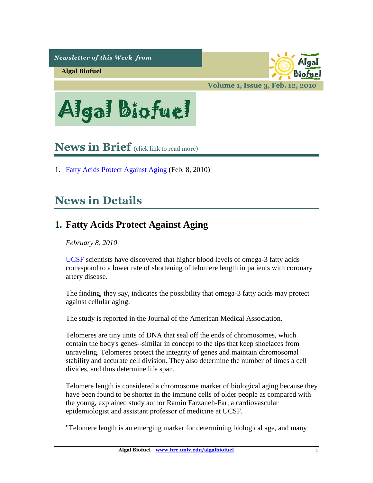*Newsletter of this Week from* 

**Algal Biofuel**

biofui

**Volume 1, Issue 3, Feb. 12, 2010**

Algal Biofuel

# <span id="page-1-1"></span>**News in Brief** (click link to read more)

1. [Fatty Acids Protect Against Aging](#page-1-0) (Feb. 8, 2010)

# **News in Details**

## <span id="page-1-0"></span>**1. Fatty Acids Protect Against Aging**

*February 8, 2010* 

[UCSF](http://www.ucsf.edu/) scientists have discovered that higher blood levels of omega-3 fatty acids correspond to a lower rate of shortening of telomere length in patients with coronary artery disease.

The finding, they say, indicates the possibility that omega-3 fatty acids may protect against cellular aging.

The study is reported in the Journal of the American Medical Association.

Telomeres are tiny units of DNA that seal off the ends of chromosomes, which contain the body's genes--similar in concept to the tips that keep shoelaces from unraveling. Telomeres protect the integrity of genes and maintain chromosomal stability and accurate cell division. They also determine the number of times a cell divides, and thus determine life span.

Telomere length is considered a chromosome marker of biological aging because they have been found to be shorter in the immune cells of older people as compared with the young, explained study author Ramin Farzaneh-Far, a cardiovascular epidemiologist and assistant professor of medicine at UCSF.

"Telomere length is an emerging marker for determining biological age, and many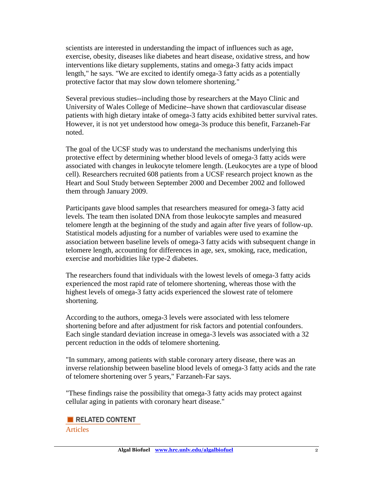scientists are interested in understanding the impact of influences such as age, exercise, obesity, diseases like diabetes and heart disease, oxidative stress, and how interventions like dietary supplements, statins and omega-3 fatty acids impact length," he says. "We are excited to identify omega-3 fatty acids as a potentially protective factor that may slow down telomere shortening."

Several previous studies--including those by researchers at the Mayo Clinic and University of Wales College of Medicine--have shown that cardiovascular disease patients with high dietary intake of omega-3 fatty acids exhibited better survival rates. However, it is not yet understood how omega-3s produce this benefit, Farzaneh-Far noted.

The goal of the UCSF study was to understand the mechanisms underlying this protective effect by determining whether blood levels of omega-3 fatty acids were associated with changes in leukocyte telomere length. (Leukocytes are a type of blood cell). Researchers recruited 608 patients from a UCSF research project known as the Heart and Soul Study between September 2000 and December 2002 and followed them through January 2009.

Participants gave blood samples that researchers measured for omega-3 fatty acid levels. The team then isolated DNA from those leukocyte samples and measured telomere length at the beginning of the study and again after five years of follow-up. Statistical models adjusting for a number of variables were used to examine the association between baseline levels of omega-3 fatty acids with subsequent change in telomere length, accounting for differences in age, sex, smoking, race, medication, exercise and morbidities like type-2 diabetes.

The researchers found that individuals with the lowest levels of omega-3 fatty acids experienced the most rapid rate of telomere shortening, whereas those with the highest levels of omega-3 fatty acids experienced the slowest rate of telomere shortening.

According to the authors, omega-3 levels were associated with less telomere shortening before and after adjustment for risk factors and potential confounders. Each single standard deviation increase in omega-3 levels was associated with a 32 percent reduction in the odds of telomere shortening.

"In summary, among patients with stable coronary artery disease, there was an inverse relationship between baseline blood levels of omega-3 fatty acids and the rate of telomere shortening over 5 years," Farzaneh-Far says.

"These findings raise the possibility that omega-3 fatty acids may protect against cellular aging in patients with coronary heart disease."

### RELATED CONTENT

Articles